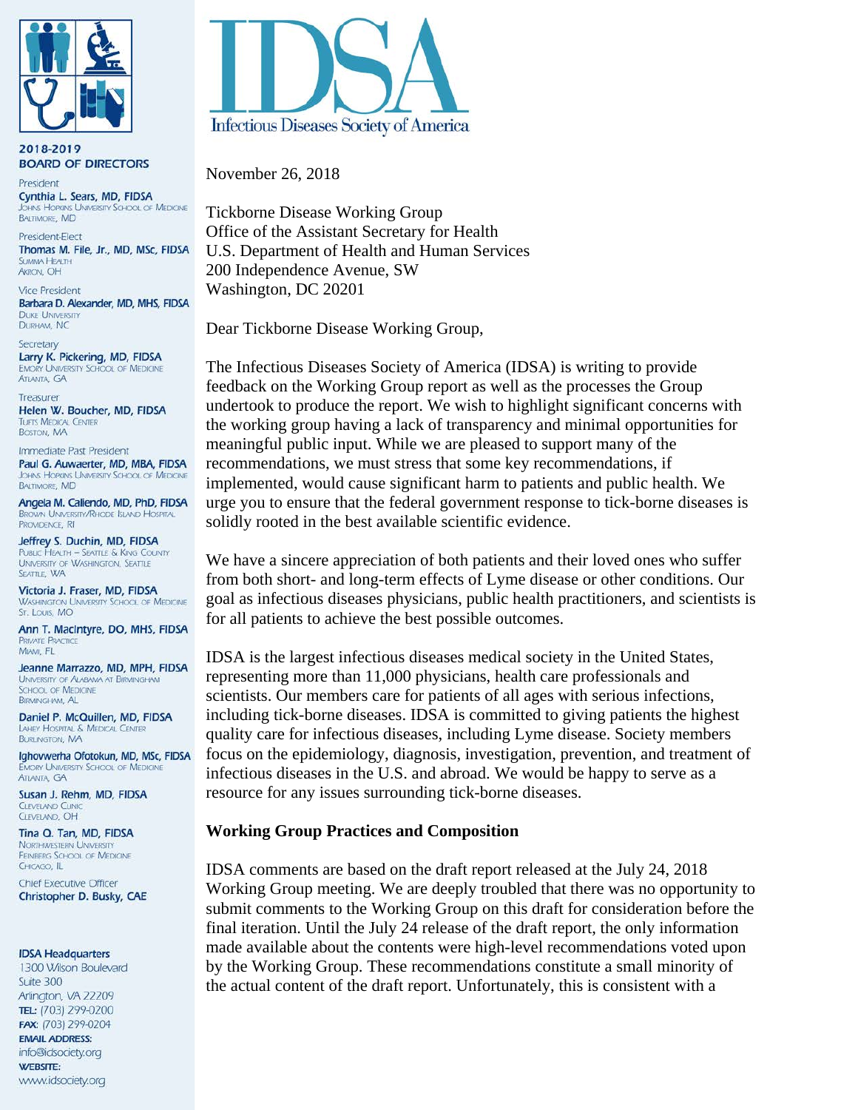

2018-2019 **BOARD OF DIRECTORS** 

President Cynthia L. Sears, MD, FIDSA **OHINS HOPKINS UNIVERSITY SCHOOL OF MEDICINE BALTIMORE, MD** 

President-Elect Thomas M. File, Jr., MD, MSc, FIDSA SLIMMAA HEALTH **AKRON, OH** 

**Vice President** Barbara D. Alexander, MD, MHS, FIDSA **DUKE UNIVERSITY** DURHAM, NC

Secretary Larry K. Pickering, MD, FIDSA **EMORY UNIVERSITY SCHOOL OF MEDICINE ATLANTA GA** 

Treasurer Helen W. Boucher, MD, FIDSA **TUFTS MEDICAL CENTER BOSTON, MA** 

Immediate Past President Paul G. Auwaerter, MD, MBA, FIDSA **IOHNS HOPKINS UNIVERSITY SCHOOL OF MEDICINE BALTIMORE, MD** 

Angela M. Caliendo, MD, PhD, FIDSA **BROWN UNIVERSITY/RHODE ISLAND HOSPITAL** PROVIDENCE. RI

Jeffrey S. Duchin, MD, FIDSA **PUBLIC HEALTH - SEATTLE & KING COUNTY** UNIVERSITY OF WASHINGTON, SEATTLE SEATTLE, WA

Victoria J. Fraser, MD, FIDSA **WASHINGTON UNIVERSITY SCHOOL OF MEDICINE** St. Louis, MO

Ann T. MacIntyre, DO, MHS, FIDSA **PRIVATE PRACTICE** MIAMI, FL

Jeanne Marrazzo, MD, MPH, FIDSA UNIVERSITY OF ALABAMA AT BIRMINGHAM **SCHOOL OF MEDICINE BIRMINGHAM, AL** 

Daniel P. McQuillen, MD, FIDSA LAHEY HOSPITAL & MEDICAL CENTER **BURLINGTON, MA** 

Ighovwerha Ofotokun, MD, MSc, FIDSA **EMORY UNIVERSITY SCHOOL OF MEDICINE ATLANTA GA** 

Susan J. Rehm, MD, FIDSA **CLEVELAND CLINI** CIFVELAND OH

Tina Q. Tan, MD, FIDSA **NORTHWESTERN UNIVERSITY** FEINBERG SCHOOL OF MEDICINE CHICAGO, IL

**Chief Executive Officer** Christopher D. Busky, CAE

#### **IDSA Headquarters**

1300 Wilson Boulevard Suite 300 Arlington, VA 22209 TEL: (703) 299-0200 FAX: (703) 299-0204 **EMAIL ADDRESS:** info@idsociety.org **WEBSITE:** www.idsociety.org



November 26, 2018

Tickborne Disease Working Group Office of the Assistant Secretary for Health U.S. Department of Health and Human Services 200 Independence Avenue, SW Washington, DC 20201

Dear Tickborne Disease Working Group,

The Infectious Diseases Society of America (IDSA) is writing to provide feedback on the Working Group report as well as the processes the Group undertook to produce the report. We wish to highlight significant concerns with the working group having a lack of transparency and minimal opportunities for meaningful public input. While we are pleased to support many of the recommendations, we must stress that some key recommendations, if implemented, would cause significant harm to patients and public health. We urge you to ensure that the federal government response to tick-borne diseases is solidly rooted in the best available scientific evidence.

We have a sincere appreciation of both patients and their loved ones who suffer from both short- and long-term effects of Lyme disease or other conditions. Our goal as infectious diseases physicians, public health practitioners, and scientists is for all patients to achieve the best possible outcomes.

IDSA is the largest infectious diseases medical society in the United States, representing more than 11,000 physicians, health care professionals and scientists. Our members care for patients of all ages with serious infections, including tick-borne diseases. IDSA is committed to giving patients the highest quality care for infectious diseases, including Lyme disease. Society members focus on the epidemiology, diagnosis, investigation, prevention, and treatment of infectious diseases in the U.S. and abroad. We would be happy to serve as a resource for any issues surrounding tick-borne diseases.

### **Working Group Practices and Composition**

IDSA comments are based on the draft report released at the July 24, 2018 Working Group meeting. We are deeply troubled that there was no opportunity to submit comments to the Working Group on this draft for consideration before the final iteration. Until the July 24 release of the draft report, the only information made available about the contents were high-level recommendations voted upon by the Working Group. These recommendations constitute a small minority of the actual content of the draft report. Unfortunately, this is consistent with a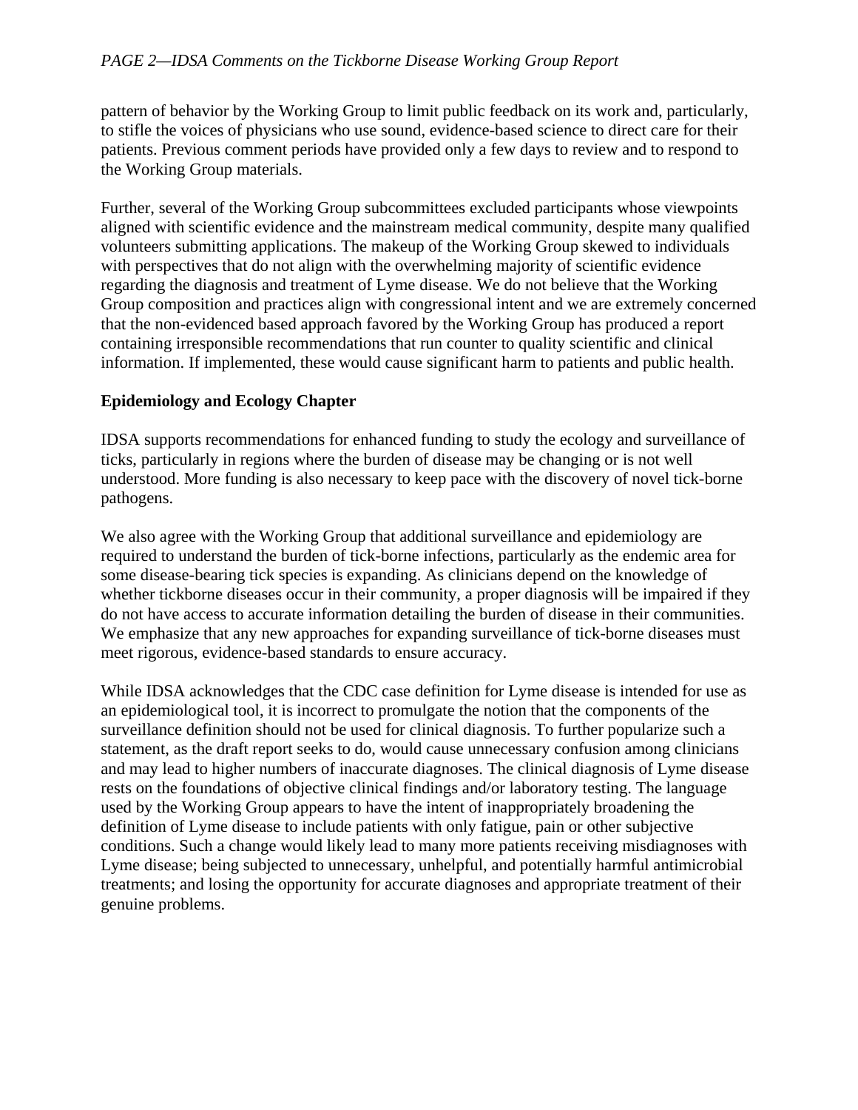# *PAGE 2—IDSA Comments on the Tickborne Disease Working Group Report*

pattern of behavior by the Working Group to limit public feedback on its work and, particularly, to stifle the voices of physicians who use sound, evidence-based science to direct care for their patients. Previous comment periods have provided only a few days to review and to respond to the Working Group materials.

Further, several of the Working Group subcommittees excluded participants whose viewpoints aligned with scientific evidence and the mainstream medical community, despite many qualified volunteers submitting applications. The makeup of the Working Group skewed to individuals with perspectives that do not align with the overwhelming majority of scientific evidence regarding the diagnosis and treatment of Lyme disease. We do not believe that the Working Group composition and practices align with congressional intent and we are extremely concerned that the non-evidenced based approach favored by the Working Group has produced a report containing irresponsible recommendations that run counter to quality scientific and clinical information. If implemented, these would cause significant harm to patients and public health.

## **Epidemiology and Ecology Chapter**

IDSA supports recommendations for enhanced funding to study the ecology and surveillance of ticks, particularly in regions where the burden of disease may be changing or is not well understood. More funding is also necessary to keep pace with the discovery of novel tick-borne pathogens.

We also agree with the Working Group that additional surveillance and epidemiology are required to understand the burden of tick-borne infections, particularly as the endemic area for some disease-bearing tick species is expanding. As clinicians depend on the knowledge of whether tickborne diseases occur in their community, a proper diagnosis will be impaired if they do not have access to accurate information detailing the burden of disease in their communities. We emphasize that any new approaches for expanding surveillance of tick-borne diseases must meet rigorous, evidence-based standards to ensure accuracy.

While IDSA acknowledges that the CDC case definition for Lyme disease is intended for use as an epidemiological tool, it is incorrect to promulgate the notion that the components of the surveillance definition should not be used for clinical diagnosis. To further popularize such a statement, as the draft report seeks to do, would cause unnecessary confusion among clinicians and may lead to higher numbers of inaccurate diagnoses. The clinical diagnosis of Lyme disease rests on the foundations of objective clinical findings and/or laboratory testing. The language used by the Working Group appears to have the intent of inappropriately broadening the definition of Lyme disease to include patients with only fatigue, pain or other subjective conditions. Such a change would likely lead to many more patients receiving misdiagnoses with Lyme disease; being subjected to unnecessary, unhelpful, and potentially harmful antimicrobial treatments; and losing the opportunity for accurate diagnoses and appropriate treatment of their genuine problems.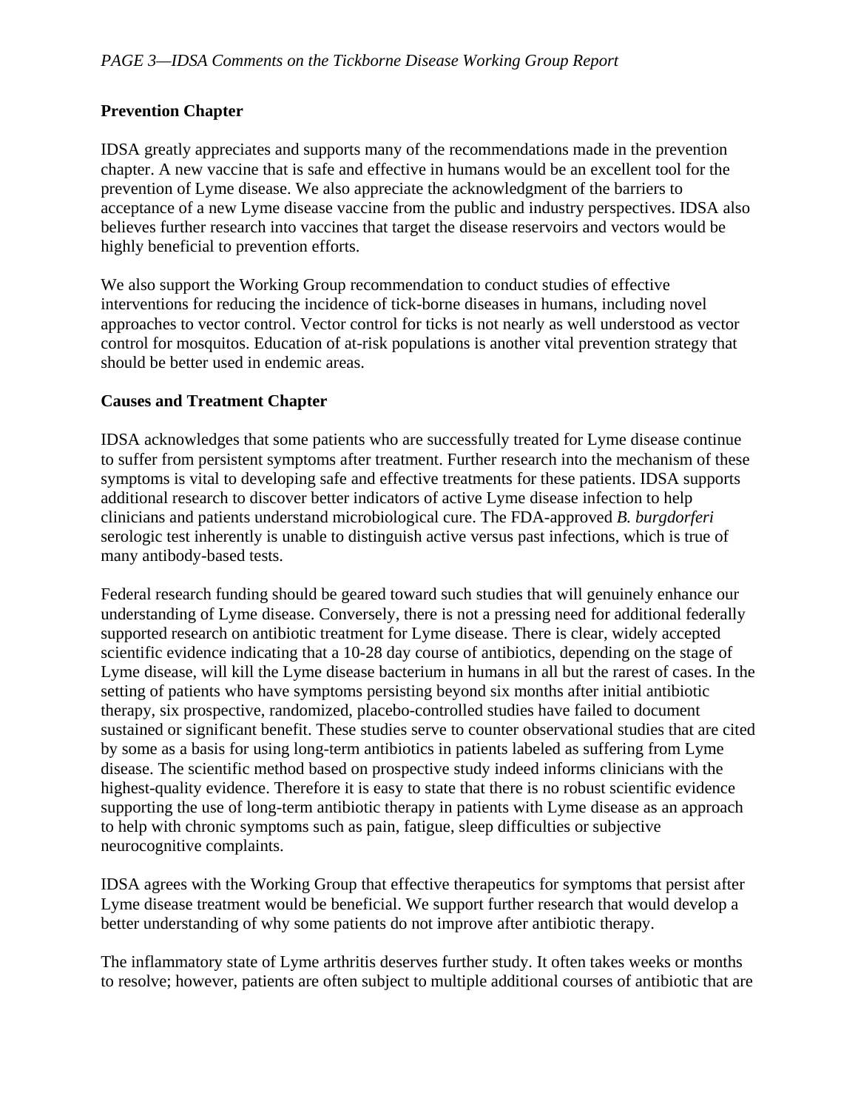# **Prevention Chapter**

IDSA greatly appreciates and supports many of the recommendations made in the prevention chapter. A new vaccine that is safe and effective in humans would be an excellent tool for the prevention of Lyme disease. We also appreciate the acknowledgment of the barriers to acceptance of a new Lyme disease vaccine from the public and industry perspectives. IDSA also believes further research into vaccines that target the disease reservoirs and vectors would be highly beneficial to prevention efforts.

We also support the Working Group recommendation to conduct studies of effective interventions for reducing the incidence of tick-borne diseases in humans, including novel approaches to vector control. Vector control for ticks is not nearly as well understood as vector control for mosquitos. Education of at-risk populations is another vital prevention strategy that should be better used in endemic areas.

### **Causes and Treatment Chapter**

IDSA acknowledges that some patients who are successfully treated for Lyme disease continue to suffer from persistent symptoms after treatment. Further research into the mechanism of these symptoms is vital to developing safe and effective treatments for these patients. IDSA supports additional research to discover better indicators of active Lyme disease infection to help clinicians and patients understand microbiological cure. The FDA-approved *B. burgdorferi* serologic test inherently is unable to distinguish active versus past infections, which is true of many antibody-based tests.

Federal research funding should be geared toward such studies that will genuinely enhance our understanding of Lyme disease. Conversely, there is not a pressing need for additional federally supported research on antibiotic treatment for Lyme disease. There is clear, widely accepted scientific evidence indicating that a 10-28 day course of antibiotics, depending on the stage of Lyme disease, will kill the Lyme disease bacterium in humans in all but the rarest of cases. In the setting of patients who have symptoms persisting beyond six months after initial antibiotic therapy, six prospective, randomized, placebo-controlled studies have failed to document sustained or significant benefit. These studies serve to counter observational studies that are cited by some as a basis for using long-term antibiotics in patients labeled as suffering from Lyme disease. The scientific method based on prospective study indeed informs clinicians with the highest-quality evidence. Therefore it is easy to state that there is no robust scientific evidence supporting the use of long-term antibiotic therapy in patients with Lyme disease as an approach to help with chronic symptoms such as pain, fatigue, sleep difficulties or subjective neurocognitive complaints.

IDSA agrees with the Working Group that effective therapeutics for symptoms that persist after Lyme disease treatment would be beneficial. We support further research that would develop a better understanding of why some patients do not improve after antibiotic therapy.

The inflammatory state of Lyme arthritis deserves further study. It often takes weeks or months to resolve; however, patients are often subject to multiple additional courses of antibiotic that are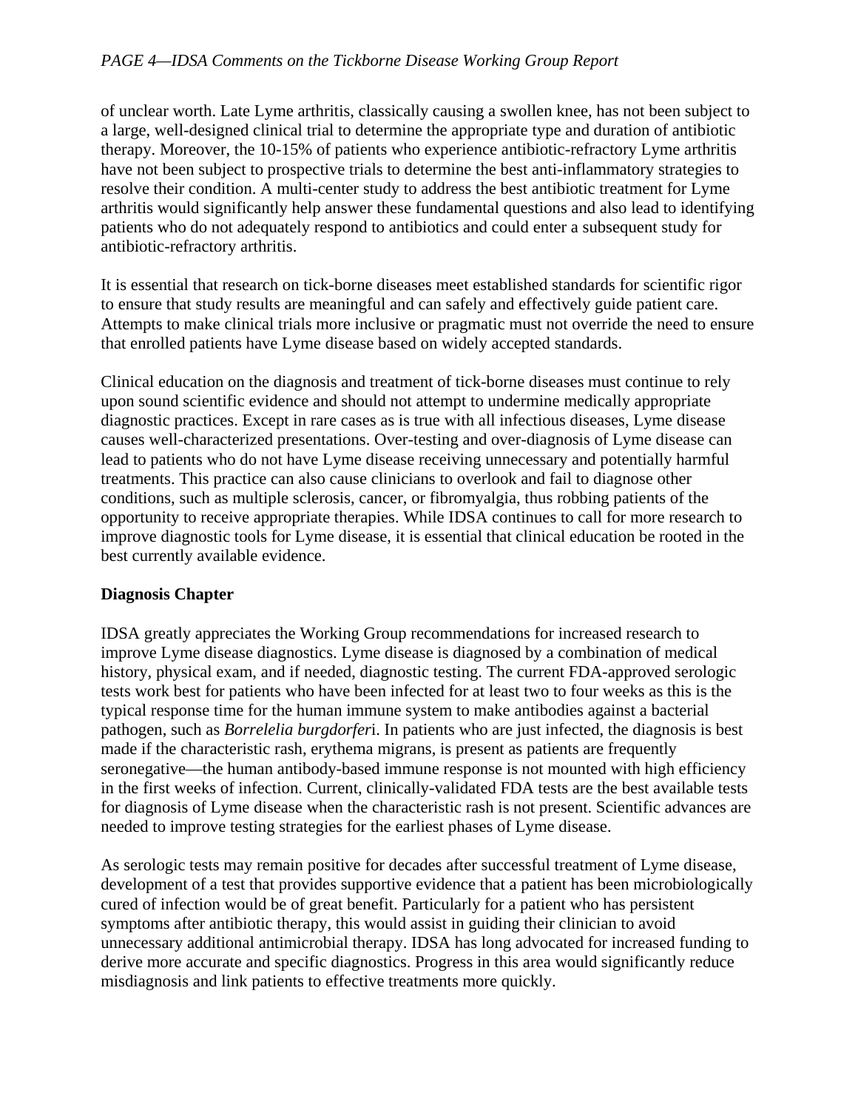# *PAGE 4—IDSA Comments on the Tickborne Disease Working Group Report*

of unclear worth. Late Lyme arthritis, classically causing a swollen knee, has not been subject to a large, well-designed clinical trial to determine the appropriate type and duration of antibiotic therapy. Moreover, the 10-15% of patients who experience antibiotic-refractory Lyme arthritis have not been subject to prospective trials to determine the best anti-inflammatory strategies to resolve their condition. A multi-center study to address the best antibiotic treatment for Lyme arthritis would significantly help answer these fundamental questions and also lead to identifying patients who do not adequately respond to antibiotics and could enter a subsequent study for antibiotic-refractory arthritis.

It is essential that research on tick-borne diseases meet established standards for scientific rigor to ensure that study results are meaningful and can safely and effectively guide patient care. Attempts to make clinical trials more inclusive or pragmatic must not override the need to ensure that enrolled patients have Lyme disease based on widely accepted standards.

Clinical education on the diagnosis and treatment of tick-borne diseases must continue to rely upon sound scientific evidence and should not attempt to undermine medically appropriate diagnostic practices. Except in rare cases as is true with all infectious diseases, Lyme disease causes well-characterized presentations. Over-testing and over-diagnosis of Lyme disease can lead to patients who do not have Lyme disease receiving unnecessary and potentially harmful treatments. This practice can also cause clinicians to overlook and fail to diagnose other conditions, such as multiple sclerosis, cancer, or fibromyalgia, thus robbing patients of the opportunity to receive appropriate therapies. While IDSA continues to call for more research to improve diagnostic tools for Lyme disease, it is essential that clinical education be rooted in the best currently available evidence.

# **Diagnosis Chapter**

IDSA greatly appreciates the Working Group recommendations for increased research to improve Lyme disease diagnostics. Lyme disease is diagnosed by a combination of medical history, physical exam, and if needed, diagnostic testing. The current FDA-approved serologic tests work best for patients who have been infected for at least two to four weeks as this is the typical response time for the human immune system to make antibodies against a bacterial pathogen, such as *Borrelelia burgdorfer*i. In patients who are just infected, the diagnosis is best made if the characteristic rash, erythema migrans, is present as patients are frequently seronegative—the human antibody-based immune response is not mounted with high efficiency in the first weeks of infection. Current, clinically-validated FDA tests are the best available tests for diagnosis of Lyme disease when the characteristic rash is not present. Scientific advances are needed to improve testing strategies for the earliest phases of Lyme disease.

As serologic tests may remain positive for decades after successful treatment of Lyme disease, development of a test that provides supportive evidence that a patient has been microbiologically cured of infection would be of great benefit. Particularly for a patient who has persistent symptoms after antibiotic therapy, this would assist in guiding their clinician to avoid unnecessary additional antimicrobial therapy. IDSA has long advocated for increased funding to derive more accurate and specific diagnostics. Progress in this area would significantly reduce misdiagnosis and link patients to effective treatments more quickly.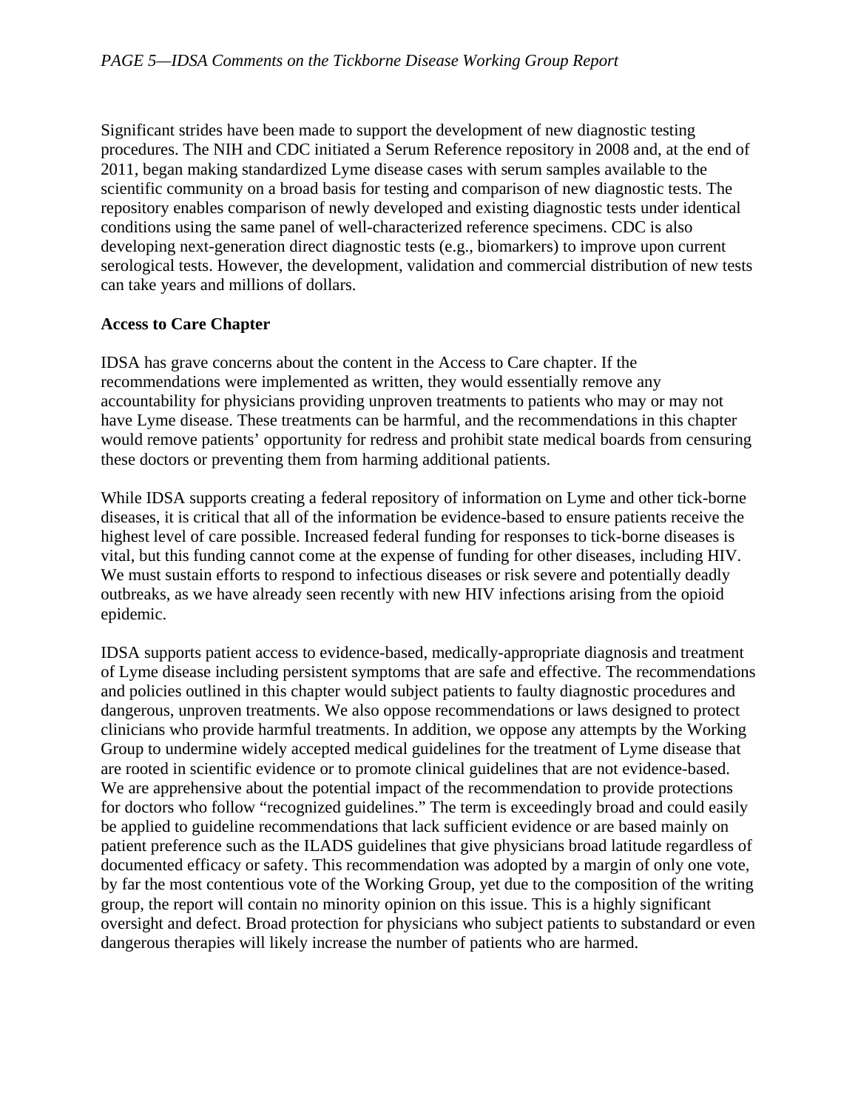Significant strides have been made to support the development of new diagnostic testing procedures. The NIH and CDC initiated a Serum Reference repository in 2008 and, at the end of 2011, began making standardized Lyme disease cases with serum samples available to the scientific community on a broad basis for testing and comparison of new diagnostic tests. The repository enables comparison of newly developed and existing diagnostic tests under identical conditions using the same panel of well-characterized reference specimens. CDC is also developing next-generation direct diagnostic tests (e.g., biomarkers) to improve upon current serological tests. However, the development, validation and commercial distribution of new tests can take years and millions of dollars.

# **Access to Care Chapter**

IDSA has grave concerns about the content in the Access to Care chapter. If the recommendations were implemented as written, they would essentially remove any accountability for physicians providing unproven treatments to patients who may or may not have Lyme disease. These treatments can be harmful, and the recommendations in this chapter would remove patients' opportunity for redress and prohibit state medical boards from censuring these doctors or preventing them from harming additional patients.

While IDSA supports creating a federal repository of information on Lyme and other tick-borne diseases, it is critical that all of the information be evidence-based to ensure patients receive the highest level of care possible. Increased federal funding for responses to tick-borne diseases is vital, but this funding cannot come at the expense of funding for other diseases, including HIV. We must sustain efforts to respond to infectious diseases or risk severe and potentially deadly outbreaks, as we have already seen recently with new HIV infections arising from the opioid epidemic.

IDSA supports patient access to evidence-based, medically-appropriate diagnosis and treatment of Lyme disease including persistent symptoms that are safe and effective. The recommendations and policies outlined in this chapter would subject patients to faulty diagnostic procedures and dangerous, unproven treatments. We also oppose recommendations or laws designed to protect clinicians who provide harmful treatments. In addition, we oppose any attempts by the Working Group to undermine widely accepted medical guidelines for the treatment of Lyme disease that are rooted in scientific evidence or to promote clinical guidelines that are not evidence-based. We are apprehensive about the potential impact of the recommendation to provide protections for doctors who follow "recognized guidelines." The term is exceedingly broad and could easily be applied to guideline recommendations that lack sufficient evidence or are based mainly on patient preference such as the ILADS guidelines that give physicians broad latitude regardless of documented efficacy or safety. This recommendation was adopted by a margin of only one vote, by far the most contentious vote of the Working Group, yet due to the composition of the writing group, the report will contain no minority opinion on this issue. This is a highly significant oversight and defect. Broad protection for physicians who subject patients to substandard or even dangerous therapies will likely increase the number of patients who are harmed.